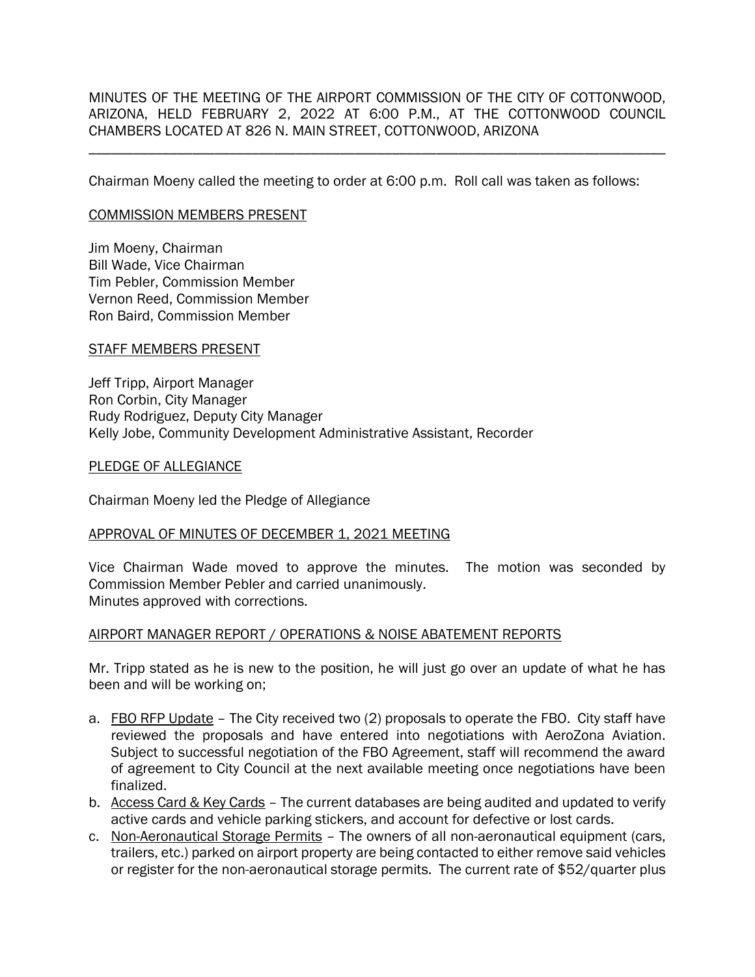MINUTES OF THE MEETING OF THE AIRPORT COMMISSION OF THE CITY OF COTTONWOOD, ARIZONA, HELD FEBRUARY 2, 2022 AT 6:00 P.M., AT THE COTTONWOOD COUNCIL CHAMBERS LOCATED AT 826 N. MAIN STREET, COTTONWOOD, ARIZONA

\_\_\_\_\_\_\_\_\_\_\_\_\_\_\_\_\_\_\_\_\_\_\_\_\_\_\_\_\_\_\_\_\_\_\_\_\_\_\_\_\_\_\_\_\_\_\_\_\_\_\_\_\_\_\_\_\_\_\_\_\_\_\_\_\_\_\_\_\_\_\_\_\_\_\_\_\_\_

Chairman Moeny called the meeting to order at 6:00 p.m. Roll call was taken as follows:

#### COMMISSION MEMBERS PRESENT

Jim Moeny, Chairman Bill Wade, Vice Chairman Tim Pebler, Commission Member Vernon Reed, Commission Member Ron Baird, Commission Member

#### STAFF MEMBERS PRESENT

Jeff Tripp, Airport Manager Ron Corbin, City Manager Rudy Rodriguez, Deputy City Manager Kelly Jobe, Community Development Administrative Assistant, Recorder

#### PLEDGE OF ALLEGIANCE

Chairman Moeny led the Pledge of Allegiance

### APPROVAL OF MINUTES OF DECEMBER 1, 2021 MEETING

Vice Chairman Wade moved to approve the minutes. The motion was seconded by Commission Member Pebler and carried unanimously. Minutes approved with corrections.

### AIRPORT MANAGER REPORT / OPERATIONS & NOISE ABATEMENT REPORTS

Mr. Tripp stated as he is new to the position, he will just go over an update of what he has been and will be working on;

- a. FBO RFP Update The City received two (2) proposals to operate the FBO. City staff have reviewed the proposals and have entered into negotiations with AeroZona Aviation. Subject to successful negotiation of the FBO Agreement, staff will recommend the award of agreement to City Council at the next available meeting once negotiations have been finalized.
- b. Access Card & Key Cards The current databases are being audited and updated to verify active cards and vehicle parking stickers, and account for defective or lost cards.
- c. Non-Aeronautical Storage Permits The owners of all non-aeronautical equipment (cars, trailers, etc.) parked on airport property are being contacted to either remove said vehicles or register for the non-aeronautical storage permits. The current rate of \$52/quarter plus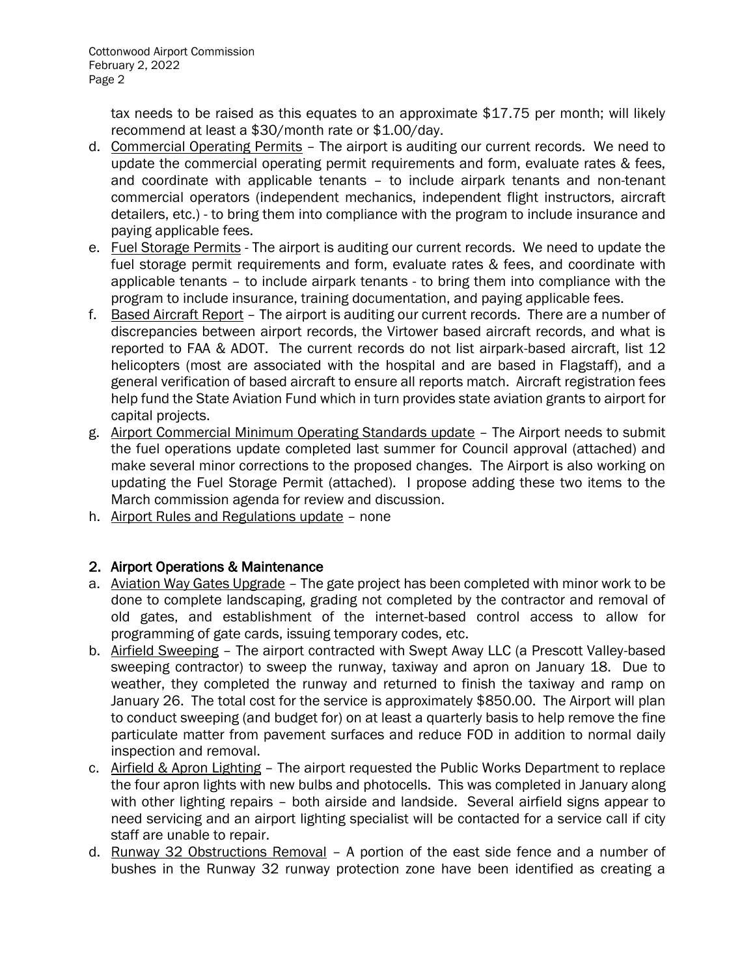tax needs to be raised as this equates to an approximate \$17.75 per month; will likely recommend at least a \$30/month rate or \$1.00/day.

- d. Commercial Operating Permits The airport is auditing our current records. We need to update the commercial operating permit requirements and form, evaluate rates & fees, and coordinate with applicable tenants – to include airpark tenants and non-tenant commercial operators (independent mechanics, independent flight instructors, aircraft detailers, etc.) - to bring them into compliance with the program to include insurance and paying applicable fees.
- e. Fuel Storage Permits The airport is auditing our current records. We need to update the fuel storage permit requirements and form, evaluate rates & fees, and coordinate with applicable tenants – to include airpark tenants - to bring them into compliance with the program to include insurance, training documentation, and paying applicable fees.
- f. Based Aircraft Report The airport is auditing our current records. There are a number of discrepancies between airport records, the Virtower based aircraft records, and what is reported to FAA & ADOT. The current records do not list airpark-based aircraft, list 12 helicopters (most are associated with the hospital and are based in Flagstaff), and a general verification of based aircraft to ensure all reports match. Aircraft registration fees help fund the State Aviation Fund which in turn provides state aviation grants to airport for capital projects.
- g. Airport Commercial Minimum Operating Standards update The Airport needs to submit the fuel operations update completed last summer for Council approval (attached) and make several minor corrections to the proposed changes. The Airport is also working on updating the Fuel Storage Permit (attached). I propose adding these two items to the March commission agenda for review and discussion.
- h. Airport Rules and Regulations update none

# 2. Airport Operations & Maintenance

- a. Aviation Way Gates Upgrade The gate project has been completed with minor work to be done to complete landscaping, grading not completed by the contractor and removal of old gates, and establishment of the internet-based control access to allow for programming of gate cards, issuing temporary codes, etc.
- b. Airfield Sweeping The airport contracted with Swept Away LLC (a Prescott Valley-based sweeping contractor) to sweep the runway, taxiway and apron on January 18. Due to weather, they completed the runway and returned to finish the taxiway and ramp on January 26. The total cost for the service is approximately \$850.00. The Airport will plan to conduct sweeping (and budget for) on at least a quarterly basis to help remove the fine particulate matter from pavement surfaces and reduce FOD in addition to normal daily inspection and removal.
- c. Airfield & Apron Lighting The airport requested the Public Works Department to replace the four apron lights with new bulbs and photocells. This was completed in January along with other lighting repairs – both airside and landside. Several airfield signs appear to need servicing and an airport lighting specialist will be contacted for a service call if city staff are unable to repair.
- d. Runway 32 Obstructions Removal A portion of the east side fence and a number of bushes in the Runway 32 runway protection zone have been identified as creating a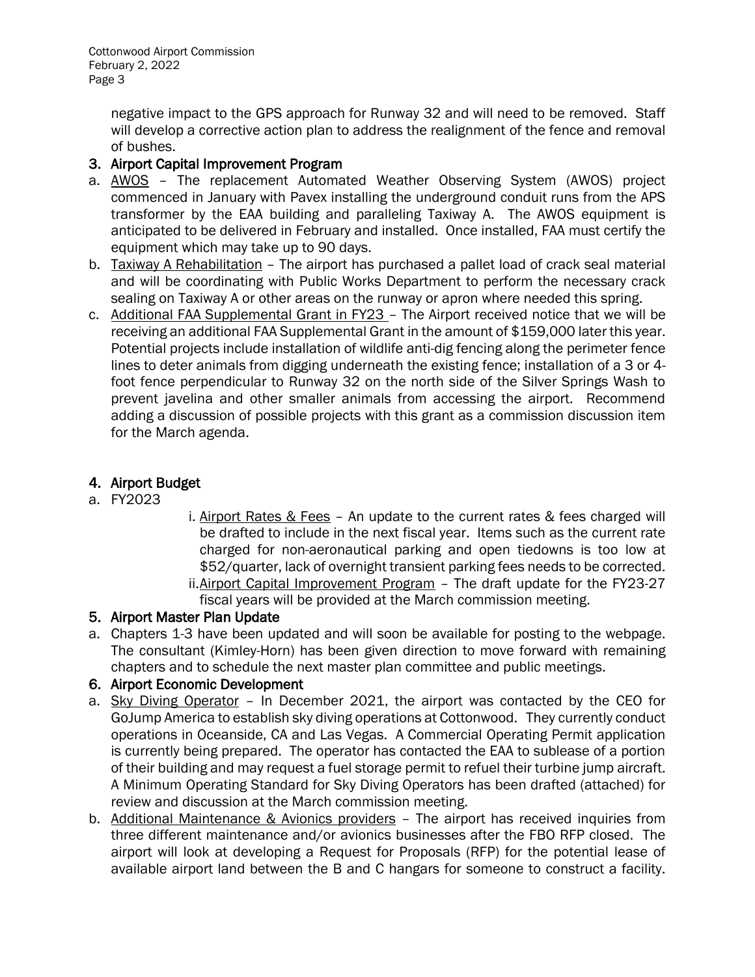Cottonwood Airport Commission February 2, 2022 Page 3

> negative impact to the GPS approach for Runway 32 and will need to be removed. Staff will develop a corrective action plan to address the realignment of the fence and removal of bushes.

## 3. Airport Capital Improvement Program

- a. **AWOS** The replacement Automated Weather Observing System (AWOS) project commenced in January with Pavex installing the underground conduit runs from the APS transformer by the EAA building and paralleling Taxiway A. The AWOS equipment is anticipated to be delivered in February and installed. Once installed, FAA must certify the equipment which may take up to 90 days.
- b. Taxiway A Rehabilitation The airport has purchased a pallet load of crack seal material and will be coordinating with Public Works Department to perform the necessary crack sealing on Taxiway A or other areas on the runway or apron where needed this spring.
- c. Additional FAA Supplemental Grant in FY23 The Airport received notice that we will be receiving an additional FAA Supplemental Grant in the amount of \$159,000 later this year. Potential projects include installation of wildlife anti-dig fencing along the perimeter fence lines to deter animals from digging underneath the existing fence; installation of a 3 or 4 foot fence perpendicular to Runway 32 on the north side of the Silver Springs Wash to prevent javelina and other smaller animals from accessing the airport. Recommend adding a discussion of possible projects with this grant as a commission discussion item for the March agenda.

## 4. Airport Budget

- a. FY2023
- i. Airport Rates & Fees An update to the current rates & fees charged will be drafted to include in the next fiscal year. Items such as the current rate charged for non-aeronautical parking and open tiedowns is too low at \$52/quarter, lack of overnight transient parking fees needs to be corrected. ii. Airport Capital Improvement Program - The draft update for the FY23-27

fiscal years will be provided at the March commission meeting.

# 5. Airport Master Plan Update

a. Chapters 1-3 have been updated and will soon be available for posting to the webpage. The consultant (Kimley-Horn) has been given direction to move forward with remaining chapters and to schedule the next master plan committee and public meetings.

### 6. Airport Economic Development

- a. Sky Diving Operator In December 2021, the airport was contacted by the CEO for GoJump America to establish sky diving operations at Cottonwood. They currently conduct operations in Oceanside, CA and Las Vegas. A Commercial Operating Permit application is currently being prepared. The operator has contacted the EAA to sublease of a portion of their building and may request a fuel storage permit to refuel their turbine jump aircraft. A Minimum Operating Standard for Sky Diving Operators has been drafted (attached) for review and discussion at the March commission meeting.
- b. Additional Maintenance & Avionics providers The airport has received inquiries from three different maintenance and/or avionics businesses after the FBO RFP closed. The airport will look at developing a Request for Proposals (RFP) for the potential lease of available airport land between the B and C hangars for someone to construct a facility.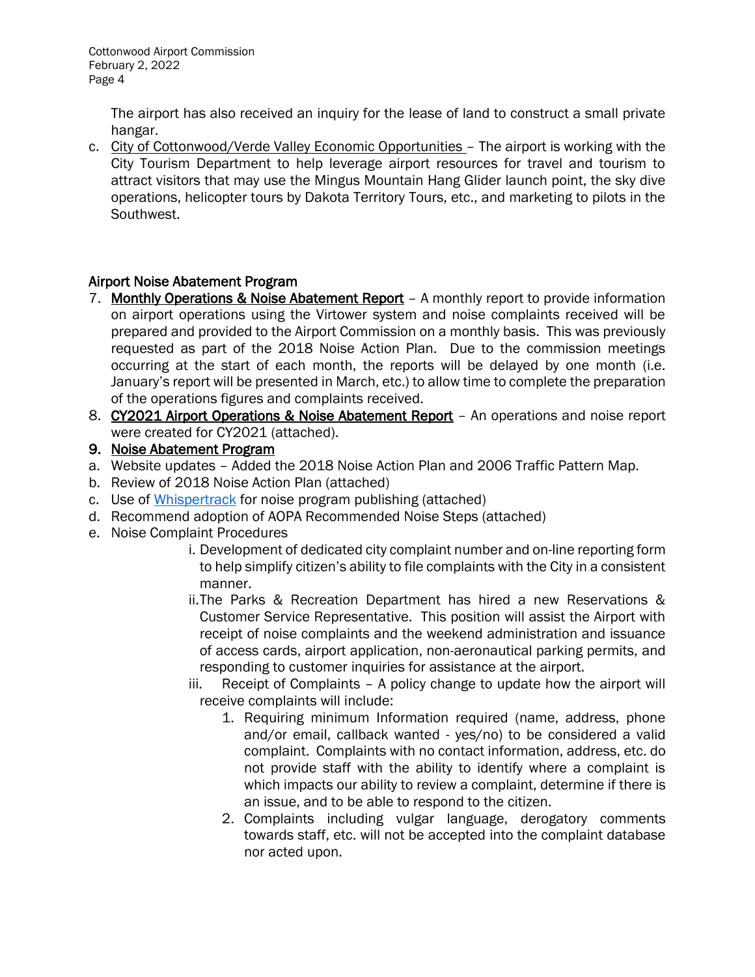The airport has also received an inquiry for the lease of land to construct a small private hangar.

c. City of Cottonwood/Verde Valley Economic Opportunities – The airport is working with the City Tourism Department to help leverage airport resources for travel and tourism to attract visitors that may use the Mingus Mountain Hang Glider launch point, the sky dive operations, helicopter tours by Dakota Territory Tours, etc., and marketing to pilots in the Southwest.

# Airport Noise Abatement Program

- 7. Monthly Operations & Noise Abatement Report A monthly report to provide information on airport operations using the Virtower system and noise complaints received will be prepared and provided to the Airport Commission on a monthly basis. This was previously requested as part of the 2018 Noise Action Plan. Due to the commission meetings occurring at the start of each month, the reports will be delayed by one month (i.e. January's report will be presented in March, etc.) to allow time to complete the preparation of the operations figures and complaints received.
- 8. CY2021 Airport Operations & Noise Abatement Report An operations and noise report were created for CY2021 (attached).
- 9. Noise Abatement Program
- a. Website updates Added the 2018 Noise Action Plan and 2006 Traffic Pattern Map.
- b. Review of 2018 Noise Action Plan (attached)
- c. Use of [Whispertrack](https://whispertrack.com/airports/P52) for noise program publishing (attached)
- d. Recommend adoption of AOPA Recommended Noise Steps (attached)
- e. Noise Complaint Procedures
	- i. Development of dedicated city complaint number and on-line reporting form to help simplify citizen's ability to file complaints with the City in a consistent manner.
	- ii.The Parks & Recreation Department has hired a new Reservations & Customer Service Representative. This position will assist the Airport with receipt of noise complaints and the weekend administration and issuance of access cards, airport application, non-aeronautical parking permits, and responding to customer inquiries for assistance at the airport.
	- iii. Receipt of Complaints A policy change to update how the airport will receive complaints will include:
		- 1. Requiring minimum Information required (name, address, phone and/or email, callback wanted - yes/no) to be considered a valid complaint. Complaints with no contact information, address, etc. do not provide staff with the ability to identify where a complaint is which impacts our ability to review a complaint, determine if there is an issue, and to be able to respond to the citizen.
		- 2. Complaints including vulgar language, derogatory comments towards staff, etc. will not be accepted into the complaint database nor acted upon.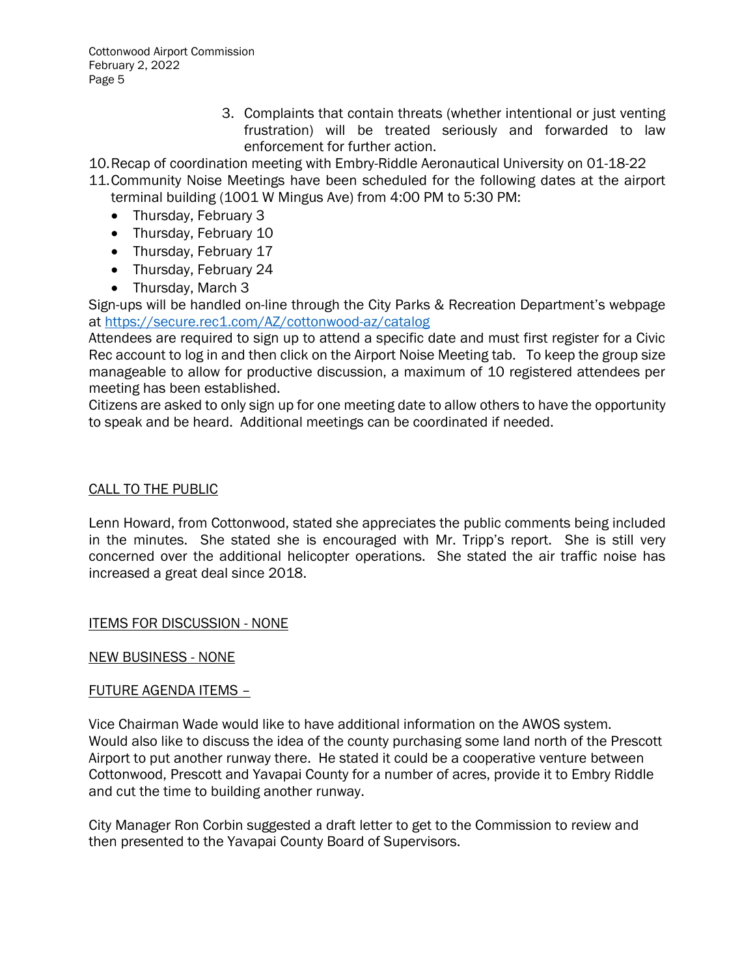Cottonwood Airport Commission February 2, 2022 Page 5

> 3. Complaints that contain threats (whether intentional or just venting frustration) will be treated seriously and forwarded to law enforcement for further action.

10.Recap of coordination meeting with Embry-Riddle Aeronautical University on 01-18-22

- 11.Community Noise Meetings have been scheduled for the following dates at the airport terminal building (1001 W Mingus Ave) from 4:00 PM to 5:30 PM:
	- Thursday, February 3
	- Thursday, February 10
	- Thursday, February 17
	- Thursday, February 24
	- Thursday, March 3

Sign-ups will be handled on-line through the City Parks & Recreation Department's webpage at<https://secure.rec1.com/AZ/cottonwood-az/catalog>

Attendees are required to sign up to attend a specific date and must first register for a Civic Rec account to log in and then click on the Airport Noise Meeting tab. To keep the group size manageable to allow for productive discussion, a maximum of 10 registered attendees per meeting has been established.

Citizens are asked to only sign up for one meeting date to allow others to have the opportunity to speak and be heard. Additional meetings can be coordinated if needed.

### CALL TO THE PUBLIC

Lenn Howard, from Cottonwood, stated she appreciates the public comments being included in the minutes. She stated she is encouraged with Mr. Tripp's report. She is still very concerned over the additional helicopter operations. She stated the air traffic noise has increased a great deal since 2018.

ITEMS FOR DISCUSSION - NONE

### NEW BUSINESS - NONE

### FUTURE AGENDA ITEMS –

Vice Chairman Wade would like to have additional information on the AWOS system. Would also like to discuss the idea of the county purchasing some land north of the Prescott Airport to put another runway there. He stated it could be a cooperative venture between Cottonwood, Prescott and Yavapai County for a number of acres, provide it to Embry Riddle and cut the time to building another runway.

City Manager Ron Corbin suggested a draft letter to get to the Commission to review and then presented to the Yavapai County Board of Supervisors.